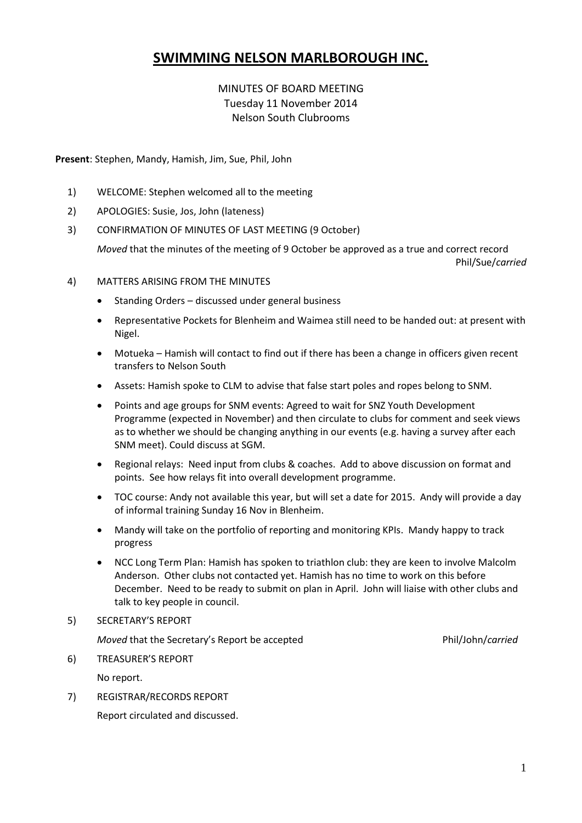# **SWIMMING NELSON MARLBOROUGH INC.**

## MINUTES OF BOARD MEETING Tuesday 11 November 2014 Nelson South Clubrooms

**Present**: Stephen, Mandy, Hamish, Jim, Sue, Phil, John

- 1) WELCOME: Stephen welcomed all to the meeting
- 2) APOLOGIES: Susie, Jos, John (lateness)
- 3) CONFIRMATION OF MINUTES OF LAST MEETING (9 October)

*Moved* that the minutes of the meeting of 9 October be approved as a true and correct record Phil/Sue/*carried*

- 4) MATTERS ARISING FROM THE MINUTES
	- Standing Orders discussed under general business
	- Representative Pockets for Blenheim and Waimea still need to be handed out: at present with Nigel.
	- Motueka Hamish will contact to find out if there has been a change in officers given recent transfers to Nelson South
	- Assets: Hamish spoke to CLM to advise that false start poles and ropes belong to SNM.
	- Points and age groups for SNM events: Agreed to wait for SNZ Youth Development Programme (expected in November) and then circulate to clubs for comment and seek views as to whether we should be changing anything in our events (e.g. having a survey after each SNM meet). Could discuss at SGM.
	- Regional relays: Need input from clubs & coaches. Add to above discussion on format and points. See how relays fit into overall development programme.
	- TOC course: Andy not available this year, but will set a date for 2015. Andy will provide a day of informal training Sunday 16 Nov in Blenheim.
	- Mandy will take on the portfolio of reporting and monitoring KPIs. Mandy happy to track progress
	- NCC Long Term Plan: Hamish has spoken to triathlon club: they are keen to involve Malcolm Anderson. Other clubs not contacted yet. Hamish has no time to work on this before December. Need to be ready to submit on plan in April. John will liaise with other clubs and talk to key people in council.

### 5) SECRETARY'S REPORT

*Moved* that the Secretary's Report be accepted Phil/John/*carried* 

- 6) TREASURER'S REPORT No report.
- 7) REGISTRAR/RECORDS REPORT Report circulated and discussed.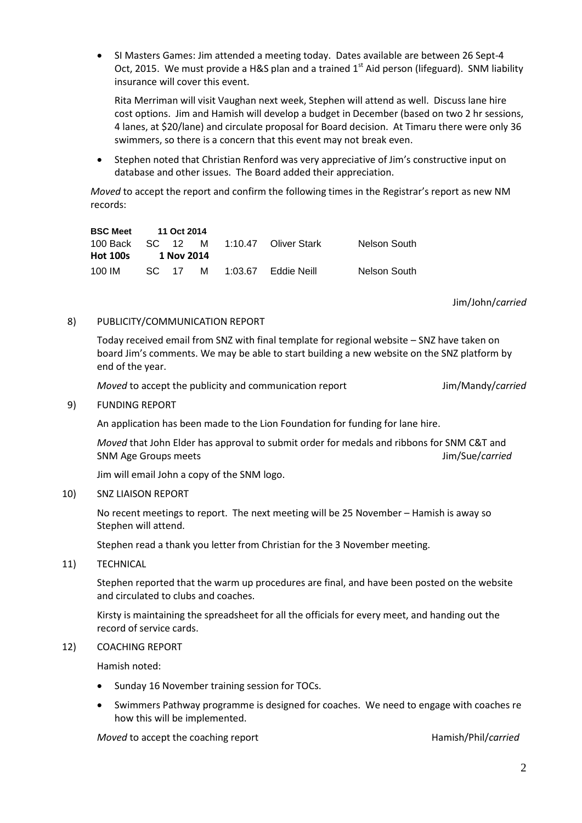SI Masters Games: Jim attended a meeting today. Dates available are between 26 Sept-4 Oct, 2015. We must provide a H&S plan and a trained  $1<sup>st</sup>$  Aid person (lifeguard). SNM liability insurance will cover this event.

Rita Merriman will visit Vaughan next week, Stephen will attend as well. Discuss lane hire cost options. Jim and Hamish will develop a budget in December (based on two 2 hr sessions, 4 lanes, at \$20/lane) and circulate proposal for Board decision. At Timaru there were only 36 swimmers, so there is a concern that this event may not break even.

 Stephen noted that Christian Renford was very appreciative of Jim's constructive input on database and other issues. The Board added their appreciation.

*Moved* to accept the report and confirm the following times in the Registrar's report as new NM records:

| <b>BSC Meet</b>  | 11 Oct 2014 |            |   |                      |              |
|------------------|-------------|------------|---|----------------------|--------------|
| 100 Back SC 12 M |             |            |   | 1:10.47 Oliver Stark | Nelson South |
| <b>Hot 100s</b>  |             | 1 Nov 2014 |   |                      |              |
| 100 IM           |             | SC 17      | M | 1:03.67  Eddie Neill | Nelson South |

Jim/John/*carried*

#### 8) PUBLICITY/COMMUNICATION REPORT

Today received email from SNZ with final template for regional website – SNZ have taken on board Jim's comments. We may be able to start building a new website on the SNZ platform by end of the year.

*Moved* to accept the publicity and communication report Jim/Mandy/*carried* 

9) FUNDING REPORT

An application has been made to the Lion Foundation for funding for lane hire.

*Moved* that John Elder has approval to submit order for medals and ribbons for SNM C&T and SNM Age Groups meets **SNM Age Groups meets** Jim/Sue/*carried* 

Jim will email John a copy of the SNM logo.

#### 10) SNZ LIAISON REPORT

No recent meetings to report. The next meeting will be 25 November – Hamish is away so Stephen will attend.

Stephen read a thank you letter from Christian for the 3 November meeting.

11) TECHNICAL

Stephen reported that the warm up procedures are final, and have been posted on the website and circulated to clubs and coaches.

Kirsty is maintaining the spreadsheet for all the officials for every meet, and handing out the record of service cards.

#### 12) COACHING REPORT

Hamish noted:

- Sunday 16 November training session for TOCs.
- Swimmers Pathway programme is designed for coaches. We need to engage with coaches re how this will be implemented.

*Moved* to accept the coaching report **Hamish/Phil/***carried* Hamish/Phil/*carried*